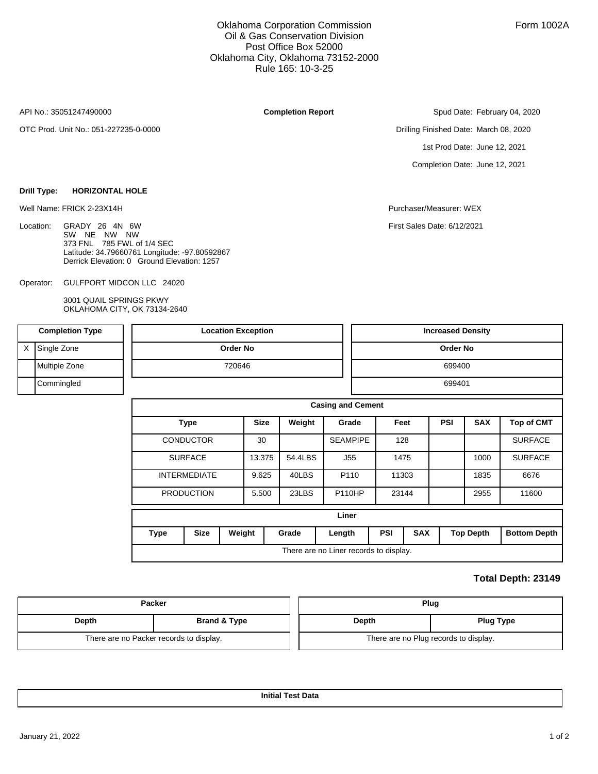### Oklahoma Corporation Commission Oil & Gas Conservation Division Post Office Box 52000 Oklahoma City, Oklahoma 73152-2000 Rule 165: 10-3-25

API No.: 35051247490000

Location:

OTC Prod. Unit No.: 051-227235-0-0000

**Drill Type: HORIZONTAL HOLE**

**Completion Report**

Spud Date: February 04, 2020

Drilling Finished Date: March 08, 2020 1st Prod Date: June 12, 2021 Completion Date: June 12, 2021

Well Name: FRICK 2-23X14H Purchaser/Measurer: WEX

First Sales Date: 6/12/2021

GULFPORT MIDCON LLC 24020 Operator:

GRADY 26 4N 6W SW NE NW NW 373 FNL 785 FWL of 1/4 SEC

3001 QUAIL SPRINGS PKWY OKLAHOMA CITY, OK 73134-2640

Latitude: 34.79660761 Longitude: -97.80592867 Derrick Elevation: 0 Ground Elevation: 1257

| <b>Completion Type</b> |               |       | <b>Location Exception</b> |        |        |                          |        |                 | <b>Increased Density</b>               |            |            |                  |                     |  |
|------------------------|---------------|-------|---------------------------|--------|--------|--------------------------|--------|-----------------|----------------------------------------|------------|------------|------------------|---------------------|--|
| X                      | Single Zone   |       | <b>Order No</b>           |        |        |                          |        | Order No        |                                        |            |            |                  |                     |  |
|                        | Multiple Zone |       | 720646                    |        |        |                          |        |                 | 699400                                 |            |            |                  |                     |  |
|                        | Commingled    |       |                           |        |        |                          |        | 699401          |                                        |            |            |                  |                     |  |
|                        |               |       |                           |        |        | <b>Casing and Cement</b> |        |                 |                                        |            |            |                  |                     |  |
|                        |               |       | <b>Type</b>               |        |        | Weight                   |        | Grade           |                                        | Feet       | <b>PSI</b> | <b>SAX</b>       | <b>Top of CMT</b>   |  |
|                        |               |       | <b>CONDUCTOR</b>          |        | 30     |                          |        | <b>SEAMPIPE</b> |                                        | 128        |            |                  | <b>SURFACE</b>      |  |
|                        |               |       | <b>SURFACE</b>            |        | 13.375 | 54.4LBS                  |        | J55             | 1475                                   |            |            | 1000             | <b>SURFACE</b>      |  |
|                        |               |       | <b>INTERMEDIATE</b>       |        | 9.625  | 40LBS                    |        | P110            |                                        | 11303      |            | 1835             | 6676                |  |
|                        |               |       | <b>PRODUCTION</b>         |        | 5.500  | 23LBS                    |        | <b>P110HP</b>   |                                        | 23144      |            | 2955             | 11600               |  |
|                        |               | Liner |                           |        |        |                          |        |                 |                                        |            |            |                  |                     |  |
| <b>Type</b>            |               |       | <b>Size</b>               | Weight |        | Grade                    | Length |                 | <b>PSI</b>                             | <b>SAX</b> |            | <b>Top Depth</b> | <b>Bottom Depth</b> |  |
|                        |               |       |                           |        |        |                          |        |                 | There are no Liner records to display. |            |            |                  |                     |  |

#### **Total Depth: 23149**

|       | <b>Packer</b>                           | Plug                                  |                  |  |  |  |  |
|-------|-----------------------------------------|---------------------------------------|------------------|--|--|--|--|
| Depth | <b>Brand &amp; Type</b>                 | Depth                                 | <b>Plug Type</b> |  |  |  |  |
|       | There are no Packer records to display. | There are no Plug records to display. |                  |  |  |  |  |

**Initial Test Data**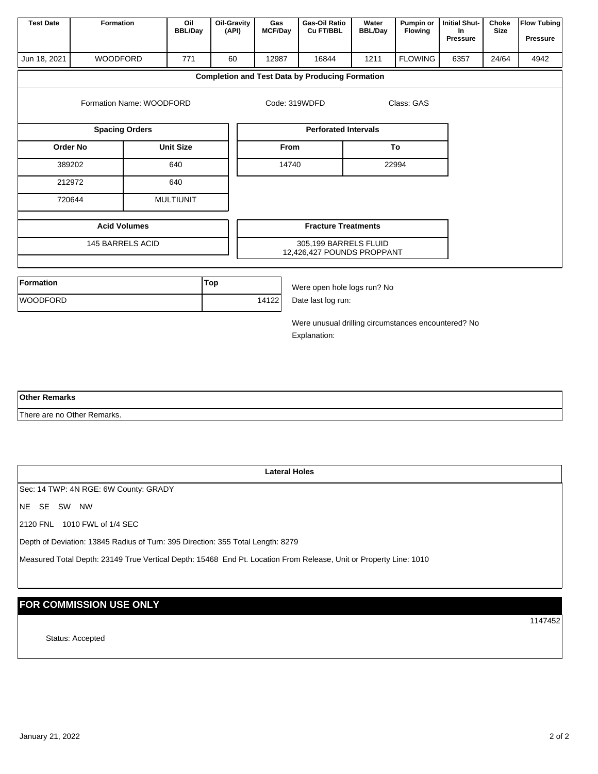| <b>Test Date</b>                                        | Oil<br>Formation<br><b>BBL/Day</b>    |                  | Oil-Gravity<br>(API) | Gas<br><b>MCF/Day</b>                               | Gas-Oil Ratio<br>Cu FT/BBL                          | Water<br><b>BBL/Day</b> | Pumpin or<br>Flowing | <b>Initial Shut-</b><br>In.<br>Pressure | Choke<br><b>Size</b> | <b>Flow Tubing</b><br><b>Pressure</b> |  |  |
|---------------------------------------------------------|---------------------------------------|------------------|----------------------|-----------------------------------------------------|-----------------------------------------------------|-------------------------|----------------------|-----------------------------------------|----------------------|---------------------------------------|--|--|
| <b>WOODFORD</b><br>Jun 18, 2021<br>771                  |                                       |                  | 60                   | 12987                                               | 16844                                               | 1211                    | <b>FLOWING</b>       | 6357                                    | 24/64                | 4942                                  |  |  |
| <b>Completion and Test Data by Producing Formation</b>  |                                       |                  |                      |                                                     |                                                     |                         |                      |                                         |                      |                                       |  |  |
| Class: GAS<br>Formation Name: WOODFORD<br>Code: 319WDFD |                                       |                  |                      |                                                     |                                                     |                         |                      |                                         |                      |                                       |  |  |
|                                                         | <b>Spacing Orders</b>                 |                  |                      |                                                     | <b>Perforated Intervals</b>                         |                         |                      |                                         |                      |                                       |  |  |
|                                                         | <b>Order No</b>                       | <b>Unit Size</b> |                      | To<br><b>From</b>                                   |                                                     |                         |                      |                                         |                      |                                       |  |  |
|                                                         | 389202                                | 640              |                      | 14740<br>22994                                      |                                                     |                         |                      |                                         |                      |                                       |  |  |
| 212972                                                  |                                       | 640              |                      |                                                     |                                                     |                         |                      |                                         |                      |                                       |  |  |
|                                                         | 720644                                | <b>MULTIUNIT</b> |                      |                                                     |                                                     |                         |                      |                                         |                      |                                       |  |  |
|                                                         | <b>Acid Volumes</b>                   |                  |                      |                                                     | <b>Fracture Treatments</b>                          |                         |                      |                                         |                      |                                       |  |  |
|                                                         | 145 BARRELS ACID                      |                  |                      |                                                     | 305,199 BARRELS FLUID<br>12,426,427 POUNDS PROPPANT |                         |                      |                                         |                      |                                       |  |  |
|                                                         |                                       |                  |                      |                                                     |                                                     |                         |                      |                                         |                      |                                       |  |  |
| <b>Formation</b>                                        |                                       |                  | Top                  |                                                     | Were open hole logs run? No                         |                         |                      |                                         |                      |                                       |  |  |
| <b>WOODFORD</b>                                         |                                       |                  |                      | 14122<br>Date last log run:                         |                                                     |                         |                      |                                         |                      |                                       |  |  |
|                                                         |                                       |                  |                      | Were unusual drilling circumstances encountered? No |                                                     |                         |                      |                                         |                      |                                       |  |  |
|                                                         |                                       |                  |                      |                                                     | Explanation:                                        |                         |                      |                                         |                      |                                       |  |  |
|                                                         |                                       |                  |                      |                                                     |                                                     |                         |                      |                                         |                      |                                       |  |  |
|                                                         |                                       |                  |                      |                                                     |                                                     |                         |                      |                                         |                      |                                       |  |  |
| <b>Other Remarks</b>                                    |                                       |                  |                      |                                                     |                                                     |                         |                      |                                         |                      |                                       |  |  |
|                                                         | There are no Other Remarks.           |                  |                      |                                                     |                                                     |                         |                      |                                         |                      |                                       |  |  |
|                                                         |                                       |                  |                      |                                                     |                                                     |                         |                      |                                         |                      |                                       |  |  |
|                                                         |                                       |                  |                      |                                                     |                                                     |                         |                      |                                         |                      |                                       |  |  |
|                                                         |                                       |                  |                      | <b>Lateral Holes</b>                                |                                                     |                         |                      |                                         |                      |                                       |  |  |
|                                                         | Sec: 14 TWP: 4N RGE: 6W County: GRADY |                  |                      |                                                     |                                                     |                         |                      |                                         |                      |                                       |  |  |
| NE SE SW NW                                             |                                       |                  |                      |                                                     |                                                     |                         |                      |                                         |                      |                                       |  |  |

2120 FNL 1010 FWL of 1/4 SEC

Depth of Deviation: 13845 Radius of Turn: 395 Direction: 355 Total Length: 8279

Measured Total Depth: 23149 True Vertical Depth: 15468 End Pt. Location From Release, Unit or Property Line: 1010

# **FOR COMMISSION USE ONLY**

Status: Accepted

1147452